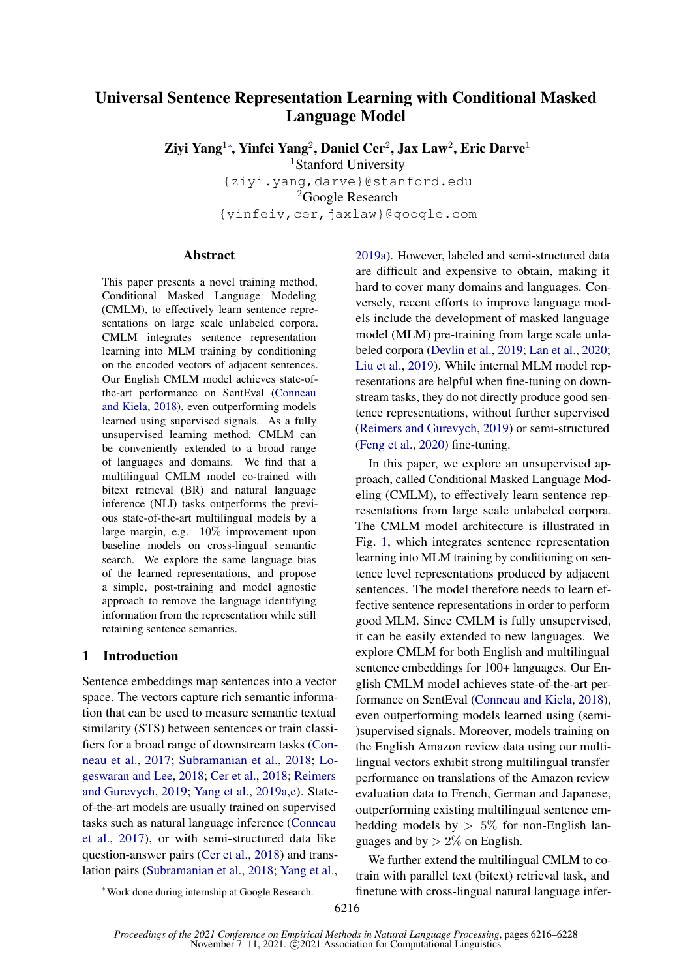# Universal Sentence Representation Learning with Conditional Masked Language Model

Ziyi Yang<sup>1</sup>\*, Yinfei Yang<sup>2</sup>, Daniel Cer<sup>2</sup>, Jax Law<sup>2</sup>, Eric Darve<sup>1</sup>

<sup>1</sup>Stanford University

{ziyi.yang,darve}@stanford.edu <sup>2</sup>Google Research {yinfeiy,cer,jaxlaw}@google.com

### Abstract

This paper presents a novel training method, Conditional Masked Language Modeling (CMLM), to effectively learn sentence representations on large scale unlabeled corpora. CMLM integrates sentence representation learning into MLM training by conditioning on the encoded vectors of adjacent sentences. Our English CMLM model achieves state-ofthe-art performance on SentEval [\(Conneau](#page-9-0) [and Kiela,](#page-9-0) [2018\)](#page-9-0), even outperforming models learned using supervised signals. As a fully unsupervised learning method, CMLM can be conveniently extended to a broad range of languages and domains. We find that a multilingual CMLM model co-trained with bitext retrieval (BR) and natural language inference (NLI) tasks outperforms the previous state-of-the-art multilingual models by a large margin, e.g. 10% improvement upon baseline models on cross-lingual semantic search. We explore the same language bias of the learned representations, and propose a simple, post-training and model agnostic approach to remove the language identifying information from the representation while still retaining sentence semantics.

# 1 Introduction

Sentence embeddings map sentences into a vector space. The vectors capture rich semantic information that can be used to measure semantic textual similarity (STS) between sentences or train classifiers for a broad range of downstream tasks [\(Con](#page-9-1)[neau et al.,](#page-9-1) [2017;](#page-9-1) [Subramanian et al.,](#page-10-0) [2018;](#page-10-0) [Lo](#page-9-2)[geswaran and Lee,](#page-9-2) [2018;](#page-9-2) [Cer et al.,](#page-9-3) [2018;](#page-9-3) [Reimers](#page-9-4) [and Gurevych,](#page-9-4) [2019;](#page-9-4) [Yang et al.,](#page-10-1) [2019a](#page-10-1)[,e\)](#page-10-2). Stateof-the-art models are usually trained on supervised tasks such as natural language inference [\(Conneau](#page-9-1) [et al.,](#page-9-1) [2017\)](#page-9-1), or with semi-structured data like question-answer pairs [\(Cer et al.,](#page-9-3) [2018\)](#page-9-3) and translation pairs [\(Subramanian et al.,](#page-10-0) [2018;](#page-10-0) [Yang et al.,](#page-10-1) [2019a\)](#page-10-1). However, labeled and semi-structured data are difficult and expensive to obtain, making it hard to cover many domains and languages. Conversely, recent efforts to improve language models include the development of masked language model (MLM) pre-training from large scale unlabeled corpora [\(Devlin et al.,](#page-9-5) [2019;](#page-9-5) [Lan et al.,](#page-9-6) [2020;](#page-9-6) [Liu et al.,](#page-9-7) [2019\)](#page-9-7). While internal MLM model representations are helpful when fine-tuning on downstream tasks, they do not directly produce good sentence representations, without further supervised [\(Reimers and Gurevych,](#page-9-4) [2019\)](#page-9-4) or semi-structured [\(Feng et al.,](#page-9-8) [2020\)](#page-9-8) fine-tuning.

In this paper, we explore an unsupervised approach, called Conditional Masked Language Modeling (CMLM), to effectively learn sentence representations from large scale unlabeled corpora. The CMLM model architecture is illustrated in Fig. [1,](#page-1-0) which integrates sentence representation learning into MLM training by conditioning on sentence level representations produced by adjacent sentences. The model therefore needs to learn effective sentence representations in order to perform good MLM. Since CMLM is fully unsupervised, it can be easily extended to new languages. We explore CMLM for both English and multilingual sentence embeddings for 100+ languages. Our English CMLM model achieves state-of-the-art performance on SentEval [\(Conneau and Kiela,](#page-9-0) [2018\)](#page-9-0), even outperforming models learned using (semi- )supervised signals. Moreover, models training on the English Amazon review data using our multilingual vectors exhibit strong multilingual transfer performance on translations of the Amazon review evaluation data to French, German and Japanese, outperforming existing multilingual sentence embedding models by  $> 5\%$  for non-English languages and by  $> 2\%$  on English.

We further extend the multilingual CMLM to cotrain with parallel text (bitext) retrieval task, and finetune with cross-lingual natural language infer-

<sup>∗</sup>Work done during internship at Google Research.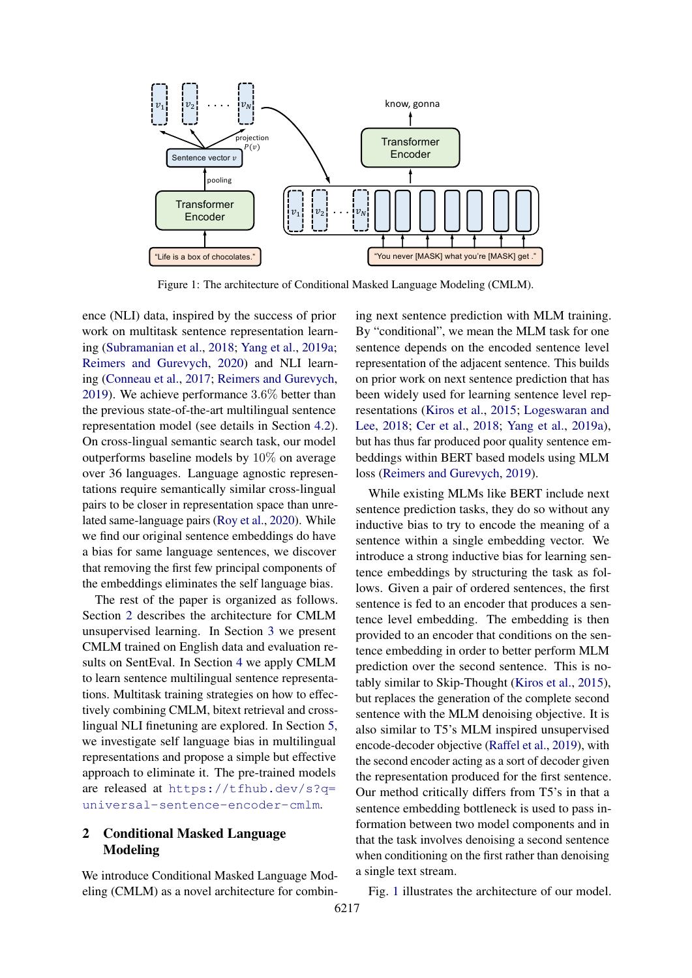<span id="page-1-0"></span>

Figure 1: The architecture of Conditional Masked Language Modeling (CMLM).

ence (NLI) data, inspired by the success of prior work on multitask sentence representation learning [\(Subramanian et al.,](#page-10-0) [2018;](#page-10-0) [Yang et al.,](#page-10-1) [2019a;](#page-10-1) [Reimers and Gurevych,](#page-10-3) [2020\)](#page-10-3) and NLI learning [\(Conneau et al.,](#page-9-1) [2017;](#page-9-1) [Reimers and Gurevych,](#page-9-4) [2019\)](#page-9-4). We achieve performance 3.6% better than the previous state-of-the-art multilingual sentence representation model (see details in Section [4.2\)](#page-3-0). On cross-lingual semantic search task, our model outperforms baseline models by 10% on average over 36 languages. Language agnostic representations require semantically similar cross-lingual pairs to be closer in representation space than unrelated same-language pairs [\(Roy et al.,](#page-10-4) [2020\)](#page-10-4). While we find our original sentence embeddings do have a bias for same language sentences, we discover that removing the first few principal components of the embeddings eliminates the self language bias.

The rest of the paper is organized as follows. Section [2](#page-1-1) describes the architecture for CMLM unsupervised learning. In Section [3](#page-2-0) we present CMLM trained on English data and evaluation results on SentEval. In Section [4](#page-3-1) we apply CMLM to learn sentence multilingual sentence representations. Multitask training strategies on how to effectively combining CMLM, bitext retrieval and crosslingual NLI finetuning are explored. In Section [5,](#page-6-0) we investigate self language bias in multilingual representations and propose a simple but effective approach to eliminate it. The pre-trained models are released at [https://tfhub.dev/s?q=](https://tfhub.dev/s?q=universal-sentence-encoder-cmlm) [universal-sentence-encoder-cmlm](https://tfhub.dev/s?q=universal-sentence-encoder-cmlm).

# <span id="page-1-1"></span>2 Conditional Masked Language Modeling

We introduce Conditional Masked Language Modeling (CMLM) as a novel architecture for combining next sentence prediction with MLM training. By "conditional", we mean the MLM task for one sentence depends on the encoded sentence level representation of the adjacent sentence. This builds on prior work on next sentence prediction that has been widely used for learning sentence level representations [\(Kiros et al.,](#page-9-9) [2015;](#page-9-9) [Logeswaran and](#page-9-2) [Lee,](#page-9-2) [2018;](#page-9-2) [Cer et al.,](#page-9-3) [2018;](#page-9-3) [Yang et al.,](#page-10-1) [2019a\)](#page-10-1), but has thus far produced poor quality sentence embeddings within BERT based models using MLM loss [\(Reimers and Gurevych,](#page-9-4) [2019\)](#page-9-4).

While existing MLMs like BERT include next sentence prediction tasks, they do so without any inductive bias to try to encode the meaning of a sentence within a single embedding vector. We introduce a strong inductive bias for learning sentence embeddings by structuring the task as follows. Given a pair of ordered sentences, the first sentence is fed to an encoder that produces a sentence level embedding. The embedding is then provided to an encoder that conditions on the sentence embedding in order to better perform MLM prediction over the second sentence. This is notably similar to Skip-Thought [\(Kiros et al.,](#page-9-9) [2015\)](#page-9-9), but replaces the generation of the complete second sentence with the MLM denoising objective. It is also similar to T5's MLM inspired unsupervised encode-decoder objective [\(Raffel et al.,](#page-9-10) [2019\)](#page-9-10), with the second encoder acting as a sort of decoder given the representation produced for the first sentence. Our method critically differs from T5's in that a sentence embedding bottleneck is used to pass information between two model components and in that the task involves denoising a second sentence when conditioning on the first rather than denoising a single text stream.

Fig. [1](#page-1-0) illustrates the architecture of our model.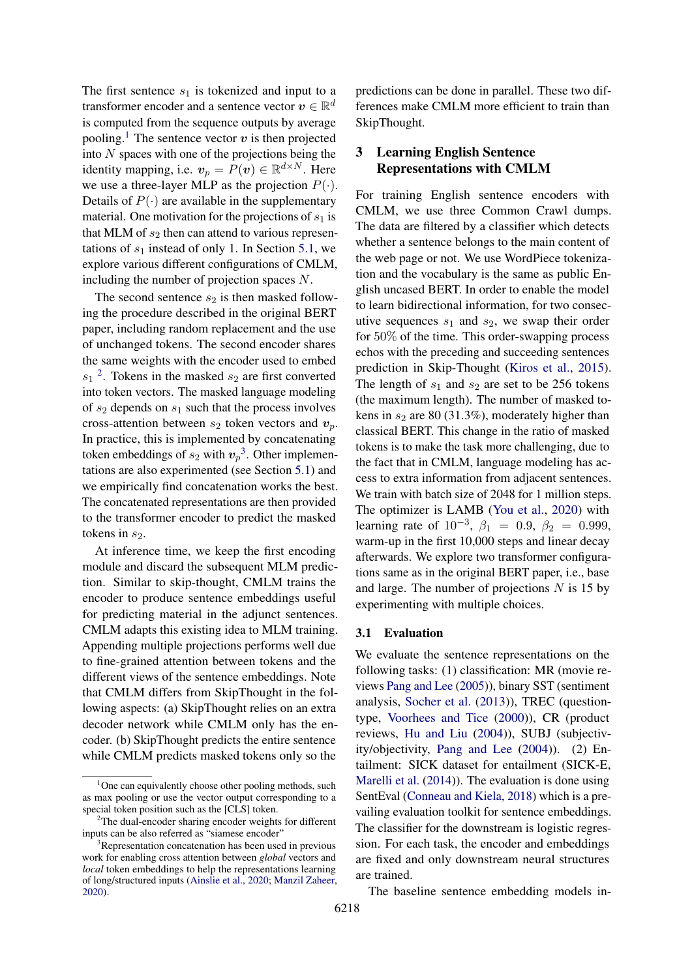The first sentence  $s_1$  is tokenized and input to a transformer encoder and a sentence vector  $\boldsymbol{v} \in \mathbb{R}^d$ is computed from the sequence outputs by average pooling.<sup>[1](#page-2-1)</sup> The sentence vector  $v$  is then projected into  $N$  spaces with one of the projections being the identity mapping, i.e.  $v_p = P(v) \in \mathbb{R}^{d \times N}$ . Here we use a three-layer MLP as the projection  $P(\cdot)$ . Details of  $P(\cdot)$  are available in the supplementary material. One motivation for the projections of  $s_1$  is that MLM of  $s_2$  then can attend to various representations of  $s_1$  instead of only 1. In Section [5.1,](#page-6-1) we explore various different configurations of CMLM, including the number of projection spaces N.

The second sentence  $s_2$  is then masked following the procedure described in the original BERT paper, including random replacement and the use of unchanged tokens. The second encoder shares the same weights with the encoder used to embed  $s_1$ <sup>[2](#page-2-2)</sup>. Tokens in the masked  $s_2$  are first converted into token vectors. The masked language modeling of  $s_2$  depends on  $s_1$  such that the process involves cross-attention between  $s_2$  token vectors and  $v_p$ . In practice, this is implemented by concatenating token embeddings of  $s_2$  with  $v_p^3$  $v_p^3$ . Other implementations are also experimented (see Section [5.1\)](#page-6-1) and we empirically find concatenation works the best. The concatenated representations are then provided to the transformer encoder to predict the masked tokens in  $s_2$ .

At inference time, we keep the first encoding module and discard the subsequent MLM prediction. Similar to skip-thought, CMLM trains the encoder to produce sentence embeddings useful for predicting material in the adjunct sentences. CMLM adapts this existing idea to MLM training. Appending multiple projections performs well due to fine-grained attention between tokens and the different views of the sentence embeddings. Note that CMLM differs from SkipThought in the following aspects: (a) SkipThought relies on an extra decoder network while CMLM only has the encoder. (b) SkipThought predicts the entire sentence while CMLM predicts masked tokens only so the

predictions can be done in parallel. These two differences make CMLM more efficient to train than SkipThought.

# <span id="page-2-0"></span>3 Learning English Sentence Representations with CMLM

For training English sentence encoders with CMLM, we use three Common Crawl dumps. The data are filtered by a classifier which detects whether a sentence belongs to the main content of the web page or not. We use WordPiece tokenization and the vocabulary is the same as public English uncased BERT. In order to enable the model to learn bidirectional information, for two consecutive sequences  $s_1$  and  $s_2$ , we swap their order for 50% of the time. This order-swapping process echos with the preceding and succeeding sentences prediction in Skip-Thought [\(Kiros et al.,](#page-9-9) [2015\)](#page-9-9). The length of  $s_1$  and  $s_2$  are set to be 256 tokens (the maximum length). The number of masked tokens in  $s_2$  are 80 (31.3%), moderately higher than classical BERT. This change in the ratio of masked tokens is to make the task more challenging, due to the fact that in CMLM, language modeling has access to extra information from adjacent sentences. We train with batch size of 2048 for 1 million steps. The optimizer is LAMB [\(You et al.,](#page-10-5) [2020\)](#page-10-5) with learning rate of  $10^{-3}$ ,  $\beta_1 = 0.9$ ,  $\beta_2 = 0.999$ , warm-up in the first 10,000 steps and linear decay afterwards. We explore two transformer configurations same as in the original BERT paper, i.e., base and large. The number of projections  $N$  is 15 by experimenting with multiple choices.

#### 3.1 Evaluation

We evaluate the sentence representations on the following tasks: (1) classification: MR (movie reviews [Pang and Lee](#page-9-12) [\(2005\)](#page-9-12)), binary SST (sentiment analysis, [Socher et al.](#page-10-6) [\(2013\)](#page-10-6)), TREC (questiontype, [Voorhees and Tice](#page-10-7) [\(2000\)](#page-10-7)), CR (product reviews, [Hu and Liu](#page-9-13) [\(2004\)](#page-9-13)), SUBJ (subjectivity/objectivity, [Pang and Lee](#page-9-14) [\(2004\)](#page-9-14)). (2) Entailment: SICK dataset for entailment (SICK-E, [Marelli et al.](#page-9-15) [\(2014\)](#page-9-15)). The evaluation is done using SentEval [\(Conneau and Kiela,](#page-9-0) [2018\)](#page-9-0) which is a prevailing evaluation toolkit for sentence embeddings. The classifier for the downstream is logistic regression. For each task, the encoder and embeddings are fixed and only downstream neural structures are trained.

The baseline sentence embedding models in-

<span id="page-2-1"></span> $1$ One can equivalently choose other pooling methods, such as max pooling or use the vector output corresponding to a special token position such as the [CLS] token.

<span id="page-2-2"></span><sup>2</sup>The dual-encoder sharing encoder weights for different inputs can be also referred as "siamese encoder"

<span id="page-2-3"></span><sup>&</sup>lt;sup>3</sup>Representation concatenation has been used in previous work for enabling cross attention between *global* vectors and *local* token embeddings to help the representations learning of long/structured inputs [\(Ainslie et al.,](#page-8-0) [2020;](#page-8-0) [Manzil Zaheer,](#page-9-11) [2020\)](#page-9-11).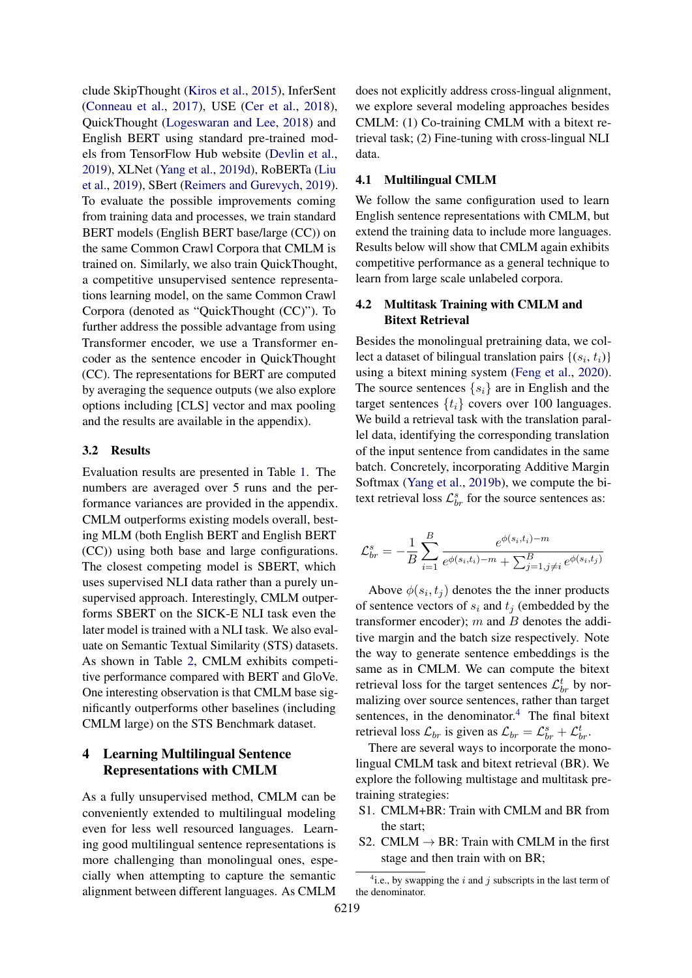clude SkipThought [\(Kiros et al.,](#page-9-9) [2015\)](#page-9-9), InferSent [\(Conneau et al.,](#page-9-1) [2017\)](#page-9-1), USE [\(Cer et al.,](#page-9-3) [2018\)](#page-9-3), QuickThought [\(Logeswaran and Lee,](#page-9-2) [2018\)](#page-9-2) and English BERT using standard pre-trained models from TensorFlow Hub website [\(Devlin et al.,](#page-9-5) [2019\)](#page-9-5), XLNet [\(Yang et al.,](#page-10-8) [2019d\)](#page-10-8), RoBERTa [\(Liu](#page-9-7) [et al.,](#page-9-7) [2019\)](#page-9-7), SBert [\(Reimers and Gurevych,](#page-9-4) [2019\)](#page-9-4). To evaluate the possible improvements coming from training data and processes, we train standard BERT models (English BERT base/large (CC)) on the same Common Crawl Corpora that CMLM is trained on. Similarly, we also train QuickThought, a competitive unsupervised sentence representations learning model, on the same Common Crawl Corpora (denoted as "QuickThought (CC)"). To further address the possible advantage from using Transformer encoder, we use a Transformer encoder as the sentence encoder in QuickThought (CC). The representations for BERT are computed by averaging the sequence outputs (we also explore options including [CLS] vector and max pooling and the results are available in the appendix).

#### 3.2 Results

Evaluation results are presented in Table [1.](#page-4-0) The numbers are averaged over 5 runs and the performance variances are provided in the appendix. CMLM outperforms existing models overall, besting MLM (both English BERT and English BERT (CC)) using both base and large configurations. The closest competing model is SBERT, which uses supervised NLI data rather than a purely unsupervised approach. Interestingly, CMLM outperforms SBERT on the SICK-E NLI task even the later model is trained with a NLI task. We also evaluate on Semantic Textual Similarity (STS) datasets. As shown in Table [2,](#page-4-1) CMLM exhibits competitive performance compared with BERT and GloVe. One interesting observation is that CMLM base significantly outperforms other baselines (including CMLM large) on the STS Benchmark dataset.

# <span id="page-3-1"></span>4 Learning Multilingual Sentence Representations with CMLM

As a fully unsupervised method, CMLM can be conveniently extended to multilingual modeling even for less well resourced languages. Learning good multilingual sentence representations is more challenging than monolingual ones, especially when attempting to capture the semantic alignment between different languages. As CMLM

does not explicitly address cross-lingual alignment, we explore several modeling approaches besides CMLM: (1) Co-training CMLM with a bitext retrieval task; (2) Fine-tuning with cross-lingual NLI data.

#### 4.1 Multilingual CMLM

We follow the same configuration used to learn English sentence representations with CMLM, but extend the training data to include more languages. Results below will show that CMLM again exhibits competitive performance as a general technique to learn from large scale unlabeled corpora.

# <span id="page-3-0"></span>4.2 Multitask Training with CMLM and Bitext Retrieval

Besides the monolingual pretraining data, we collect a dataset of bilingual translation pairs  $\{(s_i, t_i)\}$ using a bitext mining system [\(Feng et al.,](#page-9-8) [2020\)](#page-9-8). The source sentences  $\{s_i\}$  are in English and the target sentences  $\{t_i\}$  covers over 100 languages. We build a retrieval task with the translation parallel data, identifying the corresponding translation of the input sentence from candidates in the same batch. Concretely, incorporating Additive Margin Softmax [\(Yang et al.,](#page-10-9) [2019b\)](#page-10-9), we compute the bitext retrieval loss  $\mathcal{L}_{br}^{s}$  for the source sentences as:

$$
\mathcal{L}_{br}^{s} = -\frac{1}{B} \sum_{i=1}^{B} \frac{e^{\phi(s_i, t_i) - m}}{e^{\phi(s_i, t_i) - m} + \sum_{j=1, j \neq i}^{B} e^{\phi(s_i, t_j)}}
$$

Above  $\phi(s_i, t_j)$  denotes the the inner products of sentence vectors of  $s_i$  and  $t_j$  (embedded by the transformer encoder);  $m$  and  $B$  denotes the additive margin and the batch size respectively. Note the way to generate sentence embeddings is the same as in CMLM. We can compute the bitext retrieval loss for the target sentences  $\mathcal{L}_{br}^{t}$  by normalizing over source sentences, rather than target sentences, in the denominator.<sup>[4](#page-3-2)</sup> The final bitext retrieval loss  $\mathcal{L}_{br}$  is given as  $\mathcal{L}_{br} = \mathcal{L}_{br}^s + \mathcal{L}_{br}^t$ .

There are several ways to incorporate the monolingual CMLM task and bitext retrieval (BR). We explore the following multistage and multitask pretraining strategies:

- S1. CMLM+BR: Train with CMLM and BR from the start;
- S2. CMLM  $\rightarrow$  BR: Train with CMLM in the first stage and then train with on BR;

<span id="page-3-2"></span><sup>&</sup>lt;sup>4</sup>i.e., by swapping the i and j subscripts in the last term of the denominator.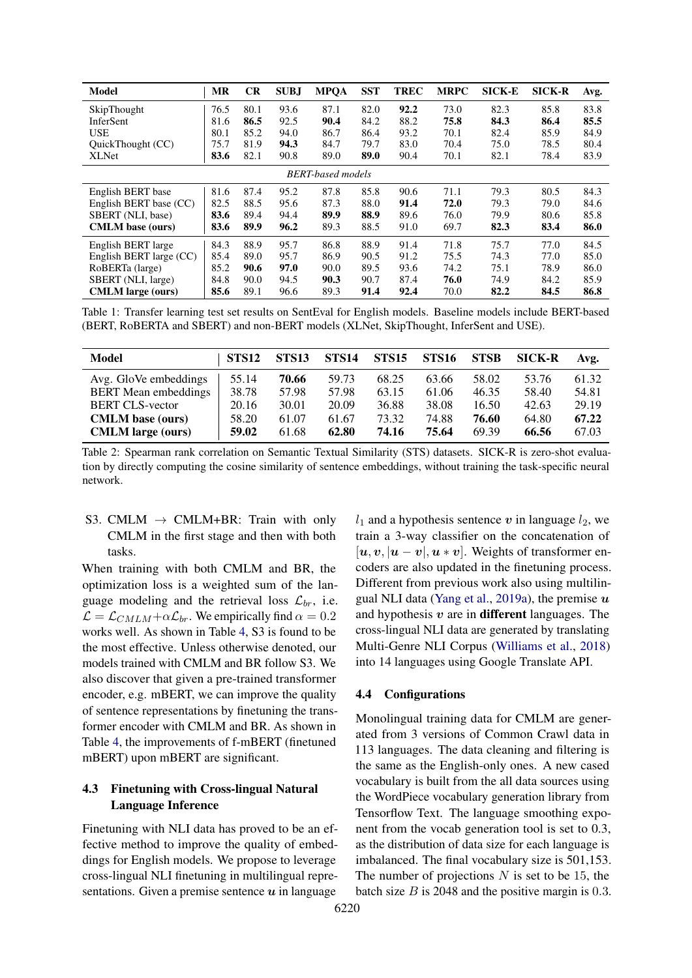<span id="page-4-0"></span>

| Model                    | <b>MR</b> | <b>CR</b> | <b>SUBJ</b> | <b>MPOA</b>              | <b>SST</b> | <b>TREC</b> | <b>MRPC</b> | <b>SICK-E</b> | <b>SICK-R</b> | Avg. |
|--------------------------|-----------|-----------|-------------|--------------------------|------------|-------------|-------------|---------------|---------------|------|
| SkipThought              | 76.5      | 80.1      | 93.6        | 87.1                     | 82.0       | 92.2        | 73.0        | 82.3          | 85.8          | 83.8 |
| InferSent                | 81.6      | 86.5      | 92.5        | 90.4                     | 84.2       | 88.2        | 75.8        | 84.3          | 86.4          | 85.5 |
| <b>USE</b>               | 80.1      | 85.2      | 94.0        | 86.7                     | 86.4       | 93.2        | 70.1        | 82.4          | 85.9          | 84.9 |
| QuickThought (CC)        | 75.7      | 81.9      | 94.3        | 84.7                     | 79.7       | 83.0        | 70.4        | 75.0          | 78.5          | 80.4 |
| <b>XLNet</b>             | 83.6      | 82.1      | 90.8        | 89.0                     | 89.0       | 90.4        | 70.1        | 82.1          | 78.4          | 83.9 |
|                          |           |           |             | <b>BERT-based models</b> |            |             |             |               |               |      |
| English BERT base        | 81.6      | 87.4      | 95.2        | 87.8                     | 85.8       | 90.6        | 71.1        | 79.3          | 80.5          | 84.3 |
| English BERT base (CC)   | 82.5      | 88.5      | 95.6        | 87.3                     | 88.0       | 91.4        | 72.0        | 79.3          | 79.0          | 84.6 |
| SBERT (NLI, base)        | 83.6      | 89.4      | 94.4        | 89.9                     | 88.9       | 89.6        | 76.0        | 79.9          | 80.6          | 85.8 |
| <b>CMLM</b> base (ours)  | 83.6      | 89.9      | 96.2        | 89.3                     | 88.5       | 91.0        | 69.7        | 82.3          | 83.4          | 86.0 |
| English BERT large       | 84.3      | 88.9      | 95.7        | 86.8                     | 88.9       | 91.4        | 71.8        | 75.7          | 77.0          | 84.5 |
| English BERT large (CC)  | 85.4      | 89.0      | 95.7        | 86.9                     | 90.5       | 91.2        | 75.5        | 74.3          | 77.0          | 85.0 |
| RoBERTa (large)          | 85.2      | 90.6      | 97.0        | 90.0                     | 89.5       | 93.6        | 74.2        | 75.1          | 78.9          | 86.0 |
| SBERT (NLI, large)       | 84.8      | 90.0      | 94.5        | 90.3                     | 90.7       | 87.4        | 76.0        | 74.9          | 84.2          | 85.9 |
| <b>CMLM</b> large (ours) | 85.6      | 89.1      | 96.6        | 89.3                     | 91.4       | 92.4        | 70.0        | 82.2          | 84.5          | 86.8 |

Table 1: Transfer learning test set results on SentEval for English models. Baseline models include BERT-based (BERT, RoBERTA and SBERT) and non-BERT models (XLNet, SkipThought, InferSent and USE).

<span id="page-4-1"></span>

| Model                       | STS <sub>12</sub> | STS <sub>13</sub> | STS <sub>14</sub> | STS <sub>15</sub> | <b>STS16</b> | <b>STSB</b> | <b>SICK-R</b> | Avg.  |
|-----------------------------|-------------------|-------------------|-------------------|-------------------|--------------|-------------|---------------|-------|
| Avg. GloVe embeddings       | 55.14             | 70.66             | 59.73             | 68.25             | 63.66        | 58.02       | 53.76         | 61.32 |
| <b>BERT</b> Mean embeddings | 38.78             | 57.98             | 57.98             | 63.15             | 61.06        | 46.35       | 58.40         | 54.81 |
| <b>BERT CLS-vector</b>      | 20.16             | 30.01             | 20.09             | 36.88             | 38.08        | 16.50       | 42.63         | 29.19 |
| <b>CMLM</b> base (ours)     | 58.20             | 61.07             | 61.67             | 73.32             | 74.88        | 76.60       | 64.80         | 67.22 |
| <b>CMLM</b> large (ours)    | 59.02             | 61.68             | 62.80             | 74.16             | 75.64        | 69.39       | 66.56         | 67.03 |

Table 2: Spearman rank correlation on Semantic Textual Similarity (STS) datasets. SICK-R is zero-shot evaluation by directly computing the cosine similarity of sentence embeddings, without training the task-specific neural network.

S3. CMLM  $\rightarrow$  CMLM+BR: Train with only CMLM in the first stage and then with both tasks.

When training with both CMLM and BR, the optimization loss is a weighted sum of the language modeling and the retrieval loss  $\mathcal{L}_{br}$ , i.e.  $\mathcal{L} = \mathcal{L}_{CMLM} + \alpha \mathcal{L}_{br}$ . We empirically find  $\alpha = 0.2$ works well. As shown in Table [4,](#page-5-0) S3 is found to be the most effective. Unless otherwise denoted, our models trained with CMLM and BR follow S3. We also discover that given a pre-trained transformer encoder, e.g. mBERT, we can improve the quality of sentence representations by finetuning the transformer encoder with CMLM and BR. As shown in Table [4,](#page-5-0) the improvements of f-mBERT (finetuned mBERT) upon mBERT are significant.

# 4.3 Finetuning with Cross-lingual Natural Language Inference

Finetuning with NLI data has proved to be an effective method to improve the quality of embeddings for English models. We propose to leverage cross-lingual NLI finetuning in multilingual representations. Given a premise sentence  $\boldsymbol{u}$  in language

 $l_1$  and a hypothesis sentence v in language  $l_2$ , we train a 3-way classifier on the concatenation of  $[u, v, |u - v|, u * v]$ . Weights of transformer encoders are also updated in the finetuning process. Different from previous work also using multilin-gual NLI data [\(Yang et al.,](#page-10-1) [2019a\)](#page-10-1), the premise  $u$ and hypothesis  $v$  are in different languages. The cross-lingual NLI data are generated by translating Multi-Genre NLI Corpus [\(Williams et al.,](#page-10-10) [2018\)](#page-10-10) into 14 languages using Google Translate API.

#### 4.4 Configurations

Monolingual training data for CMLM are generated from 3 versions of Common Crawl data in 113 languages. The data cleaning and filtering is the same as the English-only ones. A new cased vocabulary is built from the all data sources using the WordPiece vocabulary generation library from Tensorflow Text. The language smoothing exponent from the vocab generation tool is set to 0.3, as the distribution of data size for each language is imbalanced. The final vocabulary size is 501,153. The number of projections  $N$  is set to be 15, the batch size  $B$  is 2048 and the positive margin is 0.3.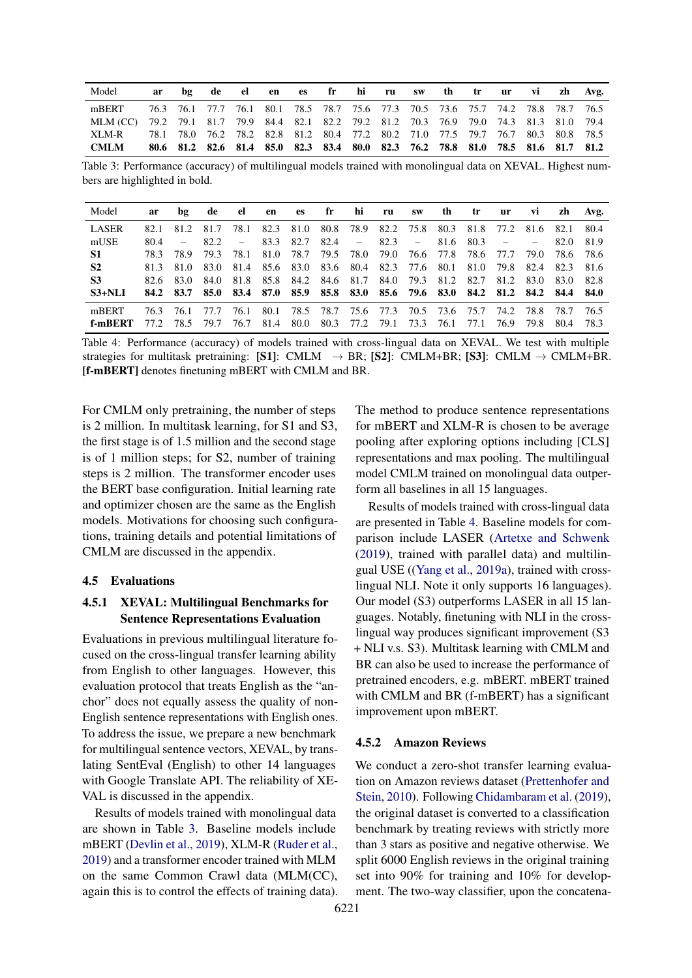<span id="page-5-1"></span>

| Model                                                                                    |  |  |  |  |  |  |                                                                                 |  | ar bg de el en es fr hi ru sw th tr ur vi zh Avg.                               |
|------------------------------------------------------------------------------------------|--|--|--|--|--|--|---------------------------------------------------------------------------------|--|---------------------------------------------------------------------------------|
| mBERT                                                                                    |  |  |  |  |  |  |                                                                                 |  | 76.3 76.1 77.7 76.1 80.1 78.5 78.7 75.6 77.3 70.5 73.6 75.7 74.2 78.8 78.7 76.5 |
| MLM (CC) 79.2 79.1 81.7 79.9 84.4 82.1 82.2 79.2 81.2 70.3 76.9 79.0 74.3 81.3 81.0 79.4 |  |  |  |  |  |  |                                                                                 |  |                                                                                 |
| XLM-R                                                                                    |  |  |  |  |  |  | 78.1 78.0 76.2 78.2 82.8 81.2 80.4 77.2 80.2 71.0 77.5 79.7 76.7 80.3 80.8 78.5 |  |                                                                                 |
| <b>CMLM</b>                                                                              |  |  |  |  |  |  | 80.6 81.2 82.6 81.4 85.0 82.3 83.4 80.0 82.3 76.2 78.8 81.0 78.5 81.6 81.7 81.2 |  |                                                                                 |

Table 3: Performance (accuracy) of multilingual models trained with monolingual data on XEVAL. Highest numbers are highlighted in bold.

<span id="page-5-0"></span>

| Model          | ar   |           | bg de el       |                                                                                 | en es fr hi ru sw th tr                                          |  |  |  | ur | Vİ        |      | zh Avg. |
|----------------|------|-----------|----------------|---------------------------------------------------------------------------------|------------------------------------------------------------------|--|--|--|----|-----------|------|---------|
| <b>LASER</b>   | 82.1 |           | 81.2 81.7      |                                                                                 | 78.1 82.3 81.0 80.8 78.9 82.2 75.8 80.3 81.8 77.2 81.6 82.1 80.4 |  |  |  |    |           |      |         |
| mUSE           |      | $80.4 -$  | 82.2           |                                                                                 | $-$ 83.3 82.7 82.4 $-$ 82.3 $-$ 81.6 80.3 $-$                    |  |  |  |    |           | 82.0 | 81.9    |
| <b>S1</b>      |      |           | 78.3 78.9 79.3 |                                                                                 | 78.1 81.0 78.7 79.5 78.0 79.0 76.6 77.8 78.6 77.7 79.0 78.6 78.6 |  |  |  |    |           |      |         |
| S <sub>2</sub> |      |           |                | 81.3 81.0 83.0 81.4 85.6 83.0 83.6 80.4 82.3 77.6 80.1 81.0 79.8 82.4 82.3 81.6 |                                                                  |  |  |  |    |           |      |         |
| <b>S3</b>      |      |           |                | 82.6 83.0 84.0 81.8 85.8 84.2 84.6 81.7 84.0 79.3 81.2 82.7 81.2 83.0 83.0      |                                                                  |  |  |  |    |           |      | 82.8    |
| $S3+NLI$       |      |           |                | 84.2 83.7 85.0 83.4 87.0 85.9 85.8 83.0 85.6 79.6 83.0 84.2 81.2 84.2 84.4 84.0 |                                                                  |  |  |  |    |           |      |         |
| mBERT          |      | 76.3 76.1 | 77.7           |                                                                                 | 76.1 80.1 78.5 78.7 75.6 77.3 70.5 73.6 75.7 74.2 78.8 78.7      |  |  |  |    |           |      | - 76.5  |
| f-mRERT        | 77 2 | 78.5      | 79.7           |                                                                                 | 76.7 81.4 80.0 80.3 77.2 79.1 73.3 76.1 77.1                     |  |  |  |    | 76.9 79.8 | -804 | 78.3    |

Table 4: Performance (accuracy) of models trained with cross-lingual data on XEVAL. We test with multiple strategies for multitask pretraining: [S1]: CMLM  $\rightarrow$  BR; [S2]: CMLM+BR; [S3]: CMLM  $\rightarrow$  CMLM+BR. [f-mBERT] denotes finetuning mBERT with CMLM and BR.

For CMLM only pretraining, the number of steps is 2 million. In multitask learning, for S1 and S3, the first stage is of 1.5 million and the second stage is of 1 million steps; for S2, number of training steps is 2 million. The transformer encoder uses the BERT base configuration. Initial learning rate and optimizer chosen are the same as the English models. Motivations for choosing such configurations, training details and potential limitations of CMLM are discussed in the appendix.

### 4.5 Evaluations

### 4.5.1 XEVAL: Multilingual Benchmarks for Sentence Representations Evaluation

Evaluations in previous multilingual literature focused on the cross-lingual transfer learning ability from English to other languages. However, this evaluation protocol that treats English as the "anchor" does not equally assess the quality of non-English sentence representations with English ones. To address the issue, we prepare a new benchmark for multilingual sentence vectors, XEVAL, by translating SentEval (English) to other 14 languages with Google Translate API. The reliability of XE-VAL is discussed in the appendix.

Results of models trained with monolingual data are shown in Table [3.](#page-5-1) Baseline models include mBERT [\(Devlin et al.,](#page-9-5) [2019\)](#page-9-5), XLM-R [\(Ruder et al.,](#page-10-11) [2019\)](#page-10-11) and a transformer encoder trained with MLM on the same Common Crawl data (MLM(CC), again this is to control the effects of training data).

The method to produce sentence representations for mBERT and XLM-R is chosen to be average pooling after exploring options including [CLS] representations and max pooling. The multilingual model CMLM trained on monolingual data outperform all baselines in all 15 languages.

Results of models trained with cross-lingual data are presented in Table [4.](#page-5-0) Baseline models for comparison include LASER [\(Artetxe and Schwenk](#page-9-16) [\(2019\)](#page-9-16), trained with parallel data) and multilingual USE ([\(Yang et al.,](#page-10-1) [2019a\)](#page-10-1), trained with crosslingual NLI. Note it only supports 16 languages). Our model (S3) outperforms LASER in all 15 languages. Notably, finetuning with NLI in the crosslingual way produces significant improvement (S3 + NLI v.s. S3). Multitask learning with CMLM and BR can also be used to increase the performance of pretrained encoders, e.g. mBERT. mBERT trained with CMLM and BR (f-mBERT) has a significant improvement upon mBERT.

#### 4.5.2 Amazon Reviews

We conduct a zero-shot transfer learning evaluation on Amazon reviews dataset [\(Prettenhofer and](#page-9-17) [Stein,](#page-9-17) [2010\)](#page-9-17). Following [Chidambaram et al.](#page-9-18) [\(2019\)](#page-9-18), the original dataset is converted to a classification benchmark by treating reviews with strictly more than 3 stars as positive and negative otherwise. We split 6000 English reviews in the original training set into 90% for training and 10% for development. The two-way classifier, upon the concatena-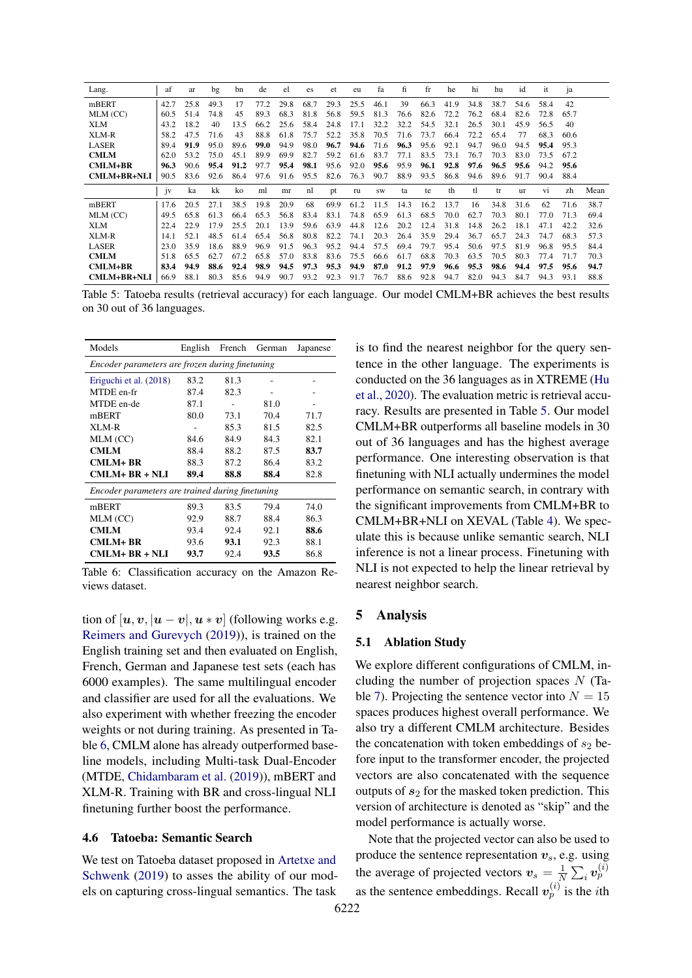<span id="page-6-3"></span>

| Lang.          | af   | ar   | bg   | bn   | de   | el   | es   | et   | eu   | fa        | fi   | fr   | he   | hi   | hu   | id        | it   | ja   |      |
|----------------|------|------|------|------|------|------|------|------|------|-----------|------|------|------|------|------|-----------|------|------|------|
| mBERT          | 42.7 | 25.8 | 49.3 | 17   | 77.2 | 29.8 | 68.7 | 29.3 | 25.5 | 46.1      | 39   | 66.3 | 41.9 | 34.8 | 38.7 | 54.6      | 58.4 | 42   |      |
| MLM (CC)       | 60.5 | 51.4 | 74.8 | 45   | 89.3 | 68.3 | 81.8 | 56.8 | 59.5 | 81.3      | 76.6 | 82.6 | 72.2 | 76.2 | 68.4 | 82.6      | 72.8 | 65.7 |      |
| XLM            | 43.2 | 18.2 | 40   | 13.5 | 66.2 | 25.6 | 58.4 | 24.8 | 17.1 | 32.2      | 32.2 | 54.5 | 32.1 | 26.5 | 30.1 | 45.9      | 56.5 | 40   |      |
| XLM-R          | 58.2 | 47.5 | 71.6 | 43   | 88.8 | 61.8 | 75.7 | 52.2 | 35.8 | 70.5      | 71.6 | 73.7 | 66.4 | 72.2 | 65.4 | 77        | 68.3 | 60.6 |      |
| <b>LASER</b>   | 89.4 | 91.9 | 95.0 | 89.6 | 99.0 | 94.9 | 98.0 | 96.7 | 94.6 | 71.6      | 96.3 | 95.6 | 92.1 | 94.7 | 96.0 | 94.5      | 95.4 | 95.3 |      |
| <b>CMLM</b>    | 62.0 | 53.2 | 75 O | 45.1 | 899  | 69.9 | 82.7 | 59.2 | 61.6 | 83.7      | 77.1 | 83.5 | 73.1 | 76.7 | 70.3 | 83.0      | 73.5 | 67.2 |      |
| $CMLM+BR$      | 96.3 | 90.6 | 95.4 | 91.2 | 97.7 | 95.4 | 98.1 | 95.6 | 92.0 | 95.6      | 95.9 | 96.1 | 92.8 | 97.6 | 96.5 | 95.6      | 94.2 | 95.6 |      |
| CMLM+BR+NLI    | 90.5 | 83.6 | 92.6 | 86.4 | 97.6 | 91.6 | 95.5 | 82.6 | 76.3 | 90.7      | 88.9 | 93.5 | 86.8 | 94.6 | 89.6 | 91.7      | 90.4 | 88.4 |      |
|                |      |      |      |      |      |      |      |      |      |           |      |      |      |      |      |           |      |      |      |
|                | iv   | ka   | kk   | ko   | ml   | mr   | nl   | pt   | ru   | <b>SW</b> | ta   | te   | th   | tl   | tr   | <b>ur</b> | vi   | zh   | Mean |
| mBERT          | 17.6 | 20.5 | 27.1 | 38.5 | 19.8 | 20.9 | 68   | 69.9 | 61.2 | 11.5      | 14.3 | 16.2 | 13.7 | 16   | 34.8 | 31.6      | 62   | 71.6 | 38.7 |
| MLM (CC)       | 49.5 | 65.8 | 61.3 | 664  | 65.3 | 56.8 | 83.4 | 83.1 | 74.8 | 65.9      | 61.3 | 68.5 | 70.0 | 62.7 | 70.3 | 80.1      | 77.0 | 71.3 | 69.4 |
| XLM            | 22.4 | 22.9 | 179  | 25.5 | 20.1 | 13.9 | 59.6 | 63.9 | 44.8 | 12.6      | 20.2 | 12.4 | 31.8 | 14.8 | 26.2 | 18.1      | 47.1 | 42.2 | 32.6 |
| XLM-R          | 14.1 | 52.1 | 48.5 | 61.4 | 65.4 | 56.8 | 80.8 | 82.2 | 74.1 | 20.3      | 26.4 | 35.9 | 29.4 | 36.7 | 65.7 | 24.3      | 74.7 | 68.3 | 57.3 |
| <b>LASER</b>   | 23.0 | 35.9 | 18.6 | 88.9 | 96.9 | 91.5 | 96.3 | 95.2 | 94.4 | 57.5      | 69.4 | 79.7 | 95.4 | 50.6 | 97.5 | 81.9      | 96.8 | 95.5 | 84.4 |
| <b>CMLM</b>    | 51.8 | 65.5 | 62.7 | 67.2 | 65.8 | 57.0 | 83.8 | 83.6 | 75.5 | 66.6      | 61.7 | 68.8 | 70.3 | 63.5 | 70.5 | 80.3      | 77.4 | 71.7 | 70.3 |
| <b>CMLM+BR</b> | 83.4 | 94.9 | 88.6 | 92.4 | 98.9 | 94.5 | 97.3 | 95.3 | 94.9 | 87.0      | 91.2 | 97.9 | 96.6 | 95.3 | 98.6 | 94.4      | 97.5 | 95.6 | 94.7 |

Table 5: Tatoeba results (retrieval accuracy) for each language. Our model CMLM+BR achieves the best results on 30 out of 36 languages.

<span id="page-6-2"></span>

| Models                                           | English |      | French German | Japanese |  |  |  |  |  |  |  |  |
|--------------------------------------------------|---------|------|---------------|----------|--|--|--|--|--|--|--|--|
| Encoder parameters are frozen during finetuning  |         |      |               |          |  |  |  |  |  |  |  |  |
| Eriguchi et al. (2018)                           | 83.2    | 81.3 |               |          |  |  |  |  |  |  |  |  |
| MTDE en-fr                                       | 87.4    | 82.3 |               |          |  |  |  |  |  |  |  |  |
| MTDE en-de                                       | 87.1    |      | 81.0          |          |  |  |  |  |  |  |  |  |
| mBERT                                            | 80.0    | 73.1 | 70.4          | 71.7     |  |  |  |  |  |  |  |  |
| XLM-R                                            |         | 85.3 | 81.5          | 82.5     |  |  |  |  |  |  |  |  |
| MLM (CC)                                         | 84.6    | 84.9 | 84.3          | 82.1     |  |  |  |  |  |  |  |  |
| <b>CMLM</b>                                      | 88.4    | 88.2 | 87.5          | 83.7     |  |  |  |  |  |  |  |  |
| <b>CMLM+BR</b>                                   | 88.3    | 87.2 | 86.4          | 83.2     |  |  |  |  |  |  |  |  |
| $CMLM+BR + NLI$                                  | 89.4    | 88.8 | 88.4          | 82.8     |  |  |  |  |  |  |  |  |
| Encoder parameters are trained during finetuning |         |      |               |          |  |  |  |  |  |  |  |  |
| mBERT                                            | 89.3    | 83.5 | 79.4          | 74.0     |  |  |  |  |  |  |  |  |
| MLM (CC)                                         | 92.9    | 88.7 | 88.4          | 86.3     |  |  |  |  |  |  |  |  |
| <b>CMLM</b>                                      | 93.4    | 92.4 | 92.1          | 88.6     |  |  |  |  |  |  |  |  |
| CMLM+ BR                                         | 93.6    | 93.1 | 92.3          | 88.1     |  |  |  |  |  |  |  |  |
| CMLM+ BR + NLI                                   | 93.7    | 92.4 | 93.5          | 86.8     |  |  |  |  |  |  |  |  |

Table 6: Classification accuracy on the Amazon Reviews dataset.

tion of  $[u, v, u - v]$ ,  $u * v$  (following works e.g. [Reimers and Gurevych](#page-9-4) [\(2019\)](#page-9-4)), is trained on the English training set and then evaluated on English, French, German and Japanese test sets (each has 6000 examples). The same multilingual encoder and classifier are used for all the evaluations. We also experiment with whether freezing the encoder weights or not during training. As presented in Table [6,](#page-6-2) CMLM alone has already outperformed baseline models, including Multi-task Dual-Encoder (MTDE, [Chidambaram et al.](#page-9-18) [\(2019\)](#page-9-18)), mBERT and XLM-R. Training with BR and cross-lingual NLI finetuning further boost the performance.

#### 4.6 Tatoeba: Semantic Search

We test on Tatoeba dataset proposed in [Artetxe and](#page-9-16) [Schwenk](#page-9-16) [\(2019\)](#page-9-16) to asses the ability of our models on capturing cross-lingual semantics. The task

is to find the nearest neighbor for the query sentence in the other language. The experiments is conducted on the 36 languages as in XTREME [\(Hu](#page-9-20) [et al.,](#page-9-20) [2020\)](#page-9-20). The evaluation metric is retrieval accuracy. Results are presented in Table [5.](#page-6-3) Our model CMLM+BR outperforms all baseline models in 30 out of 36 languages and has the highest average performance. One interesting observation is that finetuning with NLI actually undermines the model performance on semantic search, in contrary with the significant improvements from CMLM+BR to CMLM+BR+NLI on XEVAL (Table [4\)](#page-5-0). We speculate this is because unlike semantic search, NLI inference is not a linear process. Finetuning with NLI is not expected to help the linear retrieval by nearest neighbor search.

#### <span id="page-6-0"></span>5 Analysis

#### <span id="page-6-1"></span>5.1 Ablation Study

We explore different configurations of CMLM, including the number of projection spaces  $N$  (Ta-ble [7\)](#page-7-0). Projecting the sentence vector into  $N = 15$ spaces produces highest overall performance. We also try a different CMLM architecture. Besides the concatenation with token embeddings of  $s_2$  before input to the transformer encoder, the projected vectors are also concatenated with the sequence outputs of  $s_2$  for the masked token prediction. This version of architecture is denoted as "skip" and the model performance is actually worse.

Note that the projected vector can also be used to produce the sentence representation  $v_s$ , e.g. using the average of projected vectors  $v_s = \frac{1}{N}$  $\frac{1}{N}\sum_i \bm{v}_p^{(i)}$ as the sentence embeddings. Recall  $v_p^{(i)}$  is the *i*th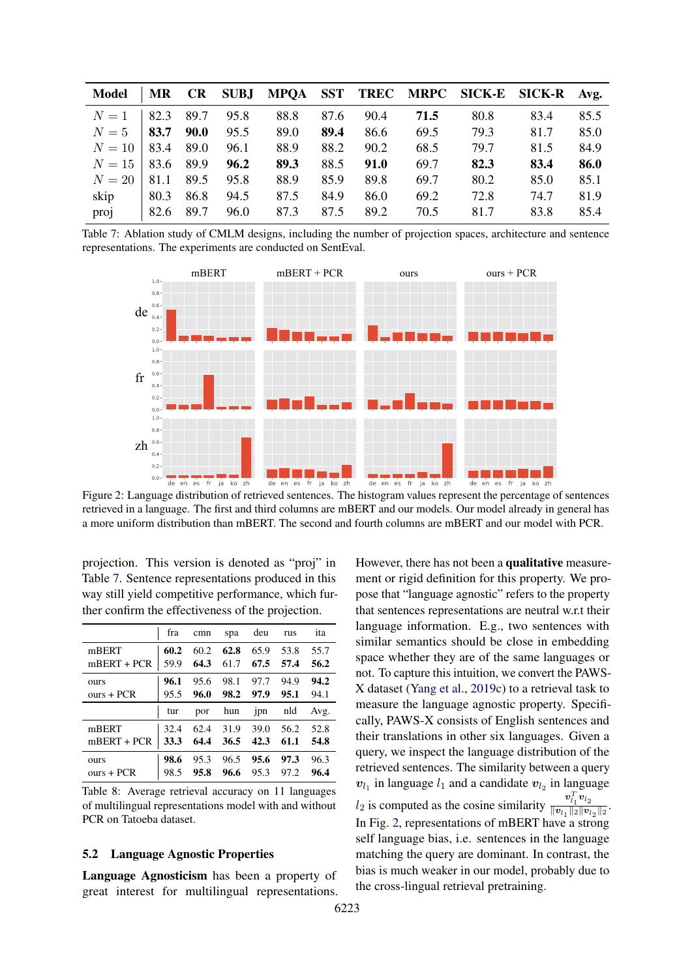<span id="page-7-0"></span>

| Model  | MR           | <b>CR</b>   |      |      |      |      |      |      | SUBJ MPQA SST TREC MRPC SICK-E SICK-R | Avg. |
|--------|--------------|-------------|------|------|------|------|------|------|---------------------------------------|------|
| $N=1$  | 82.3         | 89.7        | 95.8 | 88.8 | 87.6 | 90.4 | 71.5 | 80.8 | 83.4                                  | 85.5 |
| $N=5$  | 83.7         | <b>90.0</b> | 95.5 | 89.0 | 89.4 | 86.6 | 69.5 | 79.3 | 81.7                                  | 85.0 |
| $N=10$ | 83.4         | 89.0        | 96.1 | 88.9 | 88.2 | 90.2 | 68.5 | 79.7 | 81.5                                  | 84.9 |
| $N=15$ | 83.6         | 89.9        | 96.2 | 89.3 | 88.5 | 91.0 | 69.7 | 82.3 | 83.4                                  | 86.0 |
| $N=20$ | 81.1         | 89.5        | 95.8 | 88.9 | 85.9 | 89.8 | 69.7 | 80.2 | 85.0                                  | 85.1 |
| skip   | 80.3         | 86.8        | 94.5 | 87.5 | 84.9 | 86.0 | 69.2 | 72.8 | 74.7                                  | 81.9 |
| proj   | $\vert$ 82.6 | 89.7        | 96.0 | 87.3 | 87.5 | 89.2 | 70.5 | 81.7 | 83.8                                  | 85.4 |

<span id="page-7-1"></span>Table 7: Ablation study of CMLM designs, including the number of projection spaces, architecture and sentence representations. The experiments are conducted on SentEval.



Figure 2: Language distribution of retrieved sentences. The histogram values represent the percentage of sentences retrieved in a language. The first and third columns are mBERT and our models. Our model already in general has a more uniform distribution than mBERT. The second and fourth columns are mBERT and our model with PCR.

projection. This version is denoted as "proj" in Table [7.](#page-7-0) Sentence representations produced in this way still yield competitive performance, which further confirm the effectiveness of the projection.

<span id="page-7-2"></span>

|               | fra  | cmn  | spa  | deu  | rus  | ita  |
|---------------|------|------|------|------|------|------|
| mBERT         | 60.2 | 60.2 | 62.8 | 65.9 | 53.8 | 55.7 |
| $mBERT + PCR$ | 59.9 | 64.3 | 61.7 | 67.5 | 57.4 | 56.2 |
| ours          | 96.1 | 95.6 | 98.1 | 97.7 | 94.9 | 94.2 |
| $ours + PCR$  | 95.5 | 96.0 | 98.2 | 97.9 | 95.1 | 94.1 |
|               |      |      |      |      |      |      |
|               | tur  | por  | hun  | jpn  | nld  | Avg. |
| mBERT         | 32.4 | 62.4 | 31.9 | 39.0 | 56.2 | 52.8 |
| $mBERT + PCR$ | 33.3 | 64.4 | 36.5 | 42.3 | 61.1 | 54.8 |

Table 8: Average retrieval accuracy on 11 languages of multilingual representations model with and without PCR on Tatoeba dataset.

#### 5.2 Language Agnostic Properties

Language Agnosticism has been a property of great interest for multilingual representations. However, there has not been a qualitative measurement or rigid definition for this property. We propose that "language agnostic" refers to the property that sentences representations are neutral w.r.t their language information. E.g., two sentences with similar semantics should be close in embedding space whether they are of the same languages or not. To capture this intuition, we convert the PAWS-X dataset [\(Yang et al.,](#page-10-12) [2019c\)](#page-10-12) to a retrieval task to measure the language agnostic property. Specifically, PAWS-X consists of English sentences and their translations in other six languages. Given a query, we inspect the language distribution of the retrieved sentences. The similarity between a query  $v_{l_1}$  in language  $l_1$  and a candidate  $v_{l_2}$  in language  $l_2$  is computed as the cosine similarity  $\frac{v_l^T v_{l_2}}{\|v_l\|_{\mathcal{D}} \|v_l\|_{\mathcal{D}}}$  $\frac{v_{l_1}v_{l_2}}{\|v_{l_1}\|_2\|v_{l_2}\|_2}$ . In Fig. [2,](#page-7-1) representations of mBERT have a strong self language bias, i.e. sentences in the language matching the query are dominant. In contrast, the bias is much weaker in our model, probably due to the cross-lingual retrieval pretraining.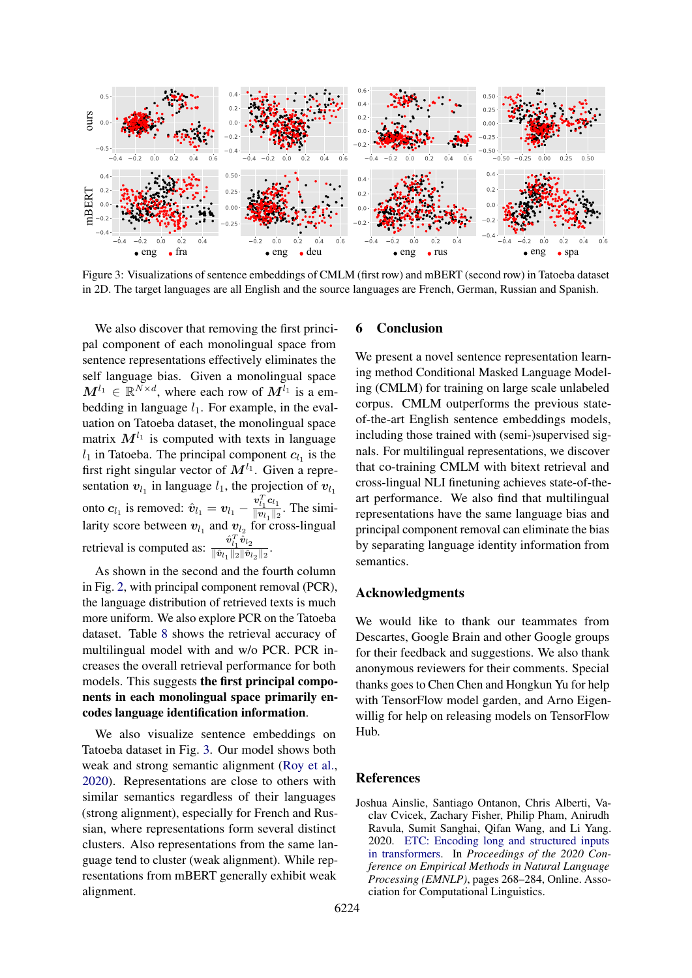<span id="page-8-1"></span>

Figure 3: Visualizations of sentence embeddings of CMLM (first row) and mBERT (second row) in Tatoeba dataset in 2D. The target languages are all English and the source languages are French, German, Russian and Spanish.

We also discover that removing the first principal component of each monolingual space from sentence representations effectively eliminates the self language bias. Given a monolingual space  $M^{l_1} \in \mathbb{R}^{N \times d}$ , where each row of  $M^{l_1}$  is a embedding in language  $l_1$ . For example, in the evaluation on Tatoeba dataset, the monolingual space matrix  $M^{l_1}$  is computed with texts in language  $l_1$  in Tatoeba. The principal component  $c_{l_1}$  is the first right singular vector of  $M^{l_1}$ . Given a representation  $v_{l_1}$  in language  $l_1$ , the projection of  $v_{l_1}$ onto  $c_{l_1}$  is removed:  $\hat{v}_{l_1} = v_{l_1} - \frac{v_{l_1}^T c_{l_1}}{\|v_{l_1}\|_2}$  $\frac{\overline{v_1} \overline{v_1}}{\|\overline{v_1}\|^2}$ . The similarity score between  $v_{l_1}$  and  $v_{l_2}$  for cross-lingual retrieval is computed as:  $\frac{\hat{v}_{i_1}^T \hat{v}_{i_2}}{\|\hat{v}_{i}\| \|\hat{v}_{i}\|}$  $\frac{v_{l_1}v_{l_2}}{\|\hat{\bm{v}}_{l_1}\|_2 \|\hat{\bm{v}}_{l_2}\|_2}$ .

As shown in the second and the fourth column in Fig. [2,](#page-7-1) with principal component removal (PCR), the language distribution of retrieved texts is much more uniform. We also explore PCR on the Tatoeba dataset. Table [8](#page-7-2) shows the retrieval accuracy of multilingual model with and w/o PCR. PCR increases the overall retrieval performance for both models. This suggests the first principal components in each monolingual space primarily encodes language identification information.

We also visualize sentence embeddings on Tatoeba dataset in Fig. [3.](#page-8-1) Our model shows both weak and strong semantic alignment [\(Roy et al.,](#page-10-4) [2020\)](#page-10-4). Representations are close to others with similar semantics regardless of their languages (strong alignment), especially for French and Russian, where representations form several distinct clusters. Also representations from the same language tend to cluster (weak alignment). While representations from mBERT generally exhibit weak alignment.

#### 6 Conclusion

We present a novel sentence representation learning method Conditional Masked Language Modeling (CMLM) for training on large scale unlabeled corpus. CMLM outperforms the previous stateof-the-art English sentence embeddings models, including those trained with (semi-)supervised signals. For multilingual representations, we discover that co-training CMLM with bitext retrieval and cross-lingual NLI finetuning achieves state-of-theart performance. We also find that multilingual representations have the same language bias and principal component removal can eliminate the bias by separating language identity information from semantics.

#### Acknowledgments

We would like to thank our teammates from Descartes, Google Brain and other Google groups for their feedback and suggestions. We also thank anonymous reviewers for their comments. Special thanks goes to Chen Chen and Hongkun Yu for help with TensorFlow model garden, and Arno Eigenwillig for help on releasing models on TensorFlow Hub.

#### References

<span id="page-8-0"></span>Joshua Ainslie, Santiago Ontanon, Chris Alberti, Vaclav Cvicek, Zachary Fisher, Philip Pham, Anirudh Ravula, Sumit Sanghai, Qifan Wang, and Li Yang. 2020. [ETC: Encoding long and structured inputs](https://doi.org/10.18653/v1/2020.emnlp-main.19) [in transformers.](https://doi.org/10.18653/v1/2020.emnlp-main.19) In *Proceedings of the 2020 Conference on Empirical Methods in Natural Language Processing (EMNLP)*, pages 268–284, Online. Association for Computational Linguistics.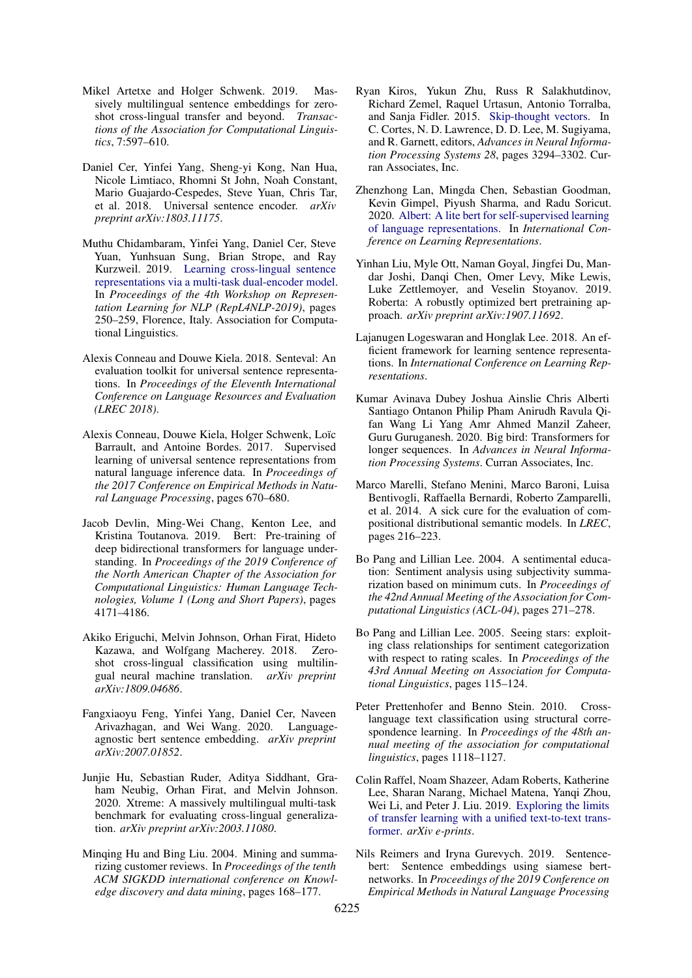- <span id="page-9-16"></span>Mikel Artetxe and Holger Schwenk. 2019. Massively multilingual sentence embeddings for zeroshot cross-lingual transfer and beyond. *Transactions of the Association for Computational Linguistics*, 7:597–610.
- <span id="page-9-3"></span>Daniel Cer, Yinfei Yang, Sheng-yi Kong, Nan Hua, Nicole Limtiaco, Rhomni St John, Noah Constant, Mario Guajardo-Cespedes, Steve Yuan, Chris Tar, et al. 2018. Universal sentence encoder. *arXiv preprint arXiv:1803.11175*.
- <span id="page-9-18"></span>Muthu Chidambaram, Yinfei Yang, Daniel Cer, Steve Yuan, Yunhsuan Sung, Brian Strope, and Ray Kurzweil. 2019. [Learning cross-lingual sentence](https://doi.org/10.18653/v1/W19-4330) [representations via a multi-task dual-encoder model.](https://doi.org/10.18653/v1/W19-4330) In *Proceedings of the 4th Workshop on Representation Learning for NLP (RepL4NLP-2019)*, pages 250–259, Florence, Italy. Association for Computational Linguistics.
- <span id="page-9-0"></span>Alexis Conneau and Douwe Kiela. 2018. Senteval: An evaluation toolkit for universal sentence representations. In *Proceedings of the Eleventh International Conference on Language Resources and Evaluation (LREC 2018)*.
- <span id="page-9-1"></span>Alexis Conneau, Douwe Kiela, Holger Schwenk, Loïc Barrault, and Antoine Bordes. 2017. Supervised learning of universal sentence representations from natural language inference data. In *Proceedings of the 2017 Conference on Empirical Methods in Natural Language Processing*, pages 670–680.
- <span id="page-9-5"></span>Jacob Devlin, Ming-Wei Chang, Kenton Lee, and Kristina Toutanova. 2019. Bert: Pre-training of deep bidirectional transformers for language understanding. In *Proceedings of the 2019 Conference of the North American Chapter of the Association for Computational Linguistics: Human Language Technologies, Volume 1 (Long and Short Papers)*, pages 4171–4186.
- <span id="page-9-19"></span>Akiko Eriguchi, Melvin Johnson, Orhan Firat, Hideto Kazawa, and Wolfgang Macherey. 2018. Zeroshot cross-lingual classification using multilingual neural machine translation. *arXiv preprint arXiv:1809.04686*.
- <span id="page-9-8"></span>Fangxiaoyu Feng, Yinfei Yang, Daniel Cer, Naveen Arivazhagan, and Wei Wang. 2020. Languageagnostic bert sentence embedding. *arXiv preprint arXiv:2007.01852*.
- <span id="page-9-20"></span>Junjie Hu, Sebastian Ruder, Aditya Siddhant, Graham Neubig, Orhan Firat, and Melvin Johnson. 2020. Xtreme: A massively multilingual multi-task benchmark for evaluating cross-lingual generalization. *arXiv preprint arXiv:2003.11080*.
- <span id="page-9-13"></span>Minqing Hu and Bing Liu. 2004. Mining and summarizing customer reviews. In *Proceedings of the tenth ACM SIGKDD international conference on Knowledge discovery and data mining*, pages 168–177.
- <span id="page-9-9"></span>Ryan Kiros, Yukun Zhu, Russ R Salakhutdinov, Richard Zemel, Raquel Urtasun, Antonio Torralba, and Sanja Fidler. 2015. [Skip-thought vectors.](http://papers.nips.cc/paper/5950-skip-thought-vectors.pdf) In C. Cortes, N. D. Lawrence, D. D. Lee, M. Sugiyama, and R. Garnett, editors, *Advances in Neural Information Processing Systems 28*, pages 3294–3302. Curran Associates, Inc.
- <span id="page-9-6"></span>Zhenzhong Lan, Mingda Chen, Sebastian Goodman, Kevin Gimpel, Piyush Sharma, and Radu Soricut. 2020. [Albert: A lite bert for self-supervised learning](https://openreview.net/forum?id=H1eA7AEtvS) [of language representations.](https://openreview.net/forum?id=H1eA7AEtvS) In *International Conference on Learning Representations*.
- <span id="page-9-7"></span>Yinhan Liu, Myle Ott, Naman Goyal, Jingfei Du, Mandar Joshi, Danqi Chen, Omer Levy, Mike Lewis, Luke Zettlemoyer, and Veselin Stoyanov. 2019. Roberta: A robustly optimized bert pretraining approach. *arXiv preprint arXiv:1907.11692*.
- <span id="page-9-2"></span>Lajanugen Logeswaran and Honglak Lee. 2018. An efficient framework for learning sentence representations. In *International Conference on Learning Representations*.
- <span id="page-9-11"></span>Kumar Avinava Dubey Joshua Ainslie Chris Alberti Santiago Ontanon Philip Pham Anirudh Ravula Qifan Wang Li Yang Amr Ahmed Manzil Zaheer, Guru Guruganesh. 2020. Big bird: Transformers for longer sequences. In *Advances in Neural Information Processing Systems*. Curran Associates, Inc.
- <span id="page-9-15"></span>Marco Marelli, Stefano Menini, Marco Baroni, Luisa Bentivogli, Raffaella Bernardi, Roberto Zamparelli, et al. 2014. A sick cure for the evaluation of compositional distributional semantic models. In *LREC*, pages 216–223.
- <span id="page-9-14"></span>Bo Pang and Lillian Lee. 2004. A sentimental education: Sentiment analysis using subjectivity summarization based on minimum cuts. In *Proceedings of the 42nd Annual Meeting of the Association for Computational Linguistics (ACL-04)*, pages 271–278.
- <span id="page-9-12"></span>Bo Pang and Lillian Lee. 2005. Seeing stars: exploiting class relationships for sentiment categorization with respect to rating scales. In *Proceedings of the 43rd Annual Meeting on Association for Computational Linguistics*, pages 115–124.
- <span id="page-9-17"></span>Peter Prettenhofer and Benno Stein. 2010. Crosslanguage text classification using structural correspondence learning. In *Proceedings of the 48th annual meeting of the association for computational linguistics*, pages 1118–1127.
- <span id="page-9-10"></span>Colin Raffel, Noam Shazeer, Adam Roberts, Katherine Lee, Sharan Narang, Michael Matena, Yanqi Zhou, Wei Li, and Peter J. Liu. 2019. [Exploring the limits](http://arxiv.org/abs/1910.10683) [of transfer learning with a unified text-to-text trans](http://arxiv.org/abs/1910.10683)[former.](http://arxiv.org/abs/1910.10683) *arXiv e-prints*.
- <span id="page-9-4"></span>Nils Reimers and Iryna Gurevych. 2019. Sentencebert: Sentence embeddings using siamese bertnetworks. In *Proceedings of the 2019 Conference on Empirical Methods in Natural Language Processing*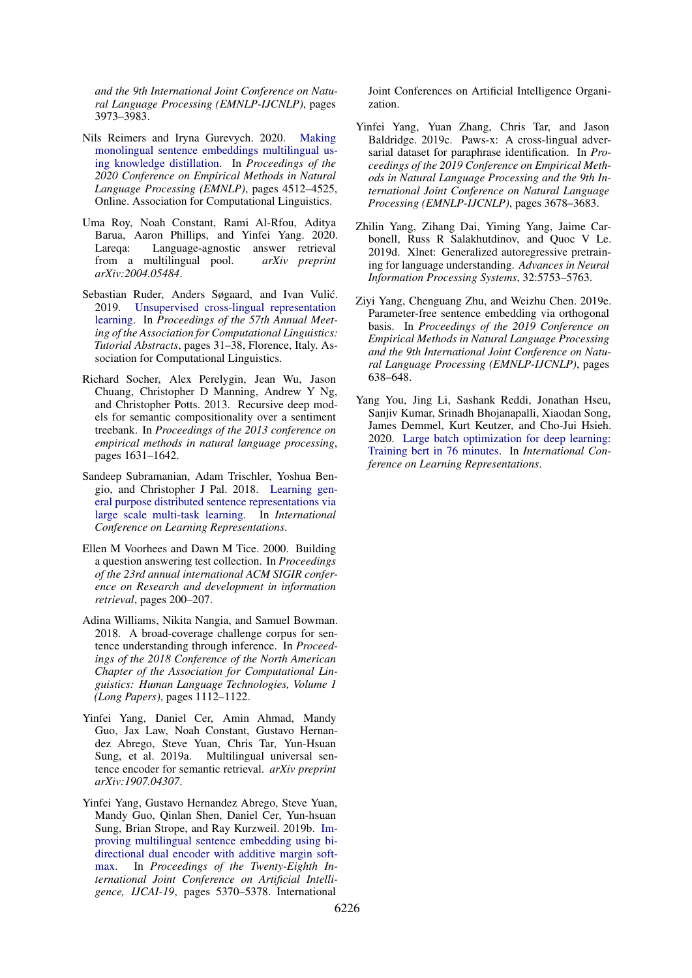*and the 9th International Joint Conference on Natural Language Processing (EMNLP-IJCNLP)*, pages 3973–3983.

- <span id="page-10-3"></span>Nils Reimers and Iryna Gurevych. 2020. [Making](https://doi.org/10.18653/v1/2020.emnlp-main.365) [monolingual sentence embeddings multilingual us](https://doi.org/10.18653/v1/2020.emnlp-main.365)[ing knowledge distillation.](https://doi.org/10.18653/v1/2020.emnlp-main.365) In *Proceedings of the 2020 Conference on Empirical Methods in Natural Language Processing (EMNLP)*, pages 4512–4525, Online. Association for Computational Linguistics.
- <span id="page-10-4"></span>Uma Roy, Noah Constant, Rami Al-Rfou, Aditya Barua, Aaron Phillips, and Yinfei Yang. 2020. Lareqa: Language-agnostic answer retrieval from a multilingual pool. *arXiv preprint arXiv:2004.05484*.
- <span id="page-10-11"></span>Sebastian Ruder, Anders Søgaard, and Ivan Vulić. 2019. [Unsupervised cross-lingual representation](https://doi.org/10.18653/v1/P19-4007) [learning.](https://doi.org/10.18653/v1/P19-4007) In *Proceedings of the 57th Annual Meeting of the Association for Computational Linguistics: Tutorial Abstracts*, pages 31–38, Florence, Italy. Association for Computational Linguistics.
- <span id="page-10-6"></span>Richard Socher, Alex Perelygin, Jean Wu, Jason Chuang, Christopher D Manning, Andrew Y Ng, and Christopher Potts. 2013. Recursive deep models for semantic compositionality over a sentiment treebank. In *Proceedings of the 2013 conference on empirical methods in natural language processing*, pages 1631–1642.
- <span id="page-10-0"></span>Sandeep Subramanian, Adam Trischler, Yoshua Bengio, and Christopher J Pal. 2018. [Learning gen](https://openreview.net/forum?id=B18WgG-CZ)[eral purpose distributed sentence representations via](https://openreview.net/forum?id=B18WgG-CZ) [large scale multi-task learning.](https://openreview.net/forum?id=B18WgG-CZ) In *International Conference on Learning Representations*.
- <span id="page-10-7"></span>Ellen M Voorhees and Dawn M Tice. 2000. Building a question answering test collection. In *Proceedings of the 23rd annual international ACM SIGIR conference on Research and development in information retrieval*, pages 200–207.
- <span id="page-10-10"></span>Adina Williams, Nikita Nangia, and Samuel Bowman. 2018. A broad-coverage challenge corpus for sentence understanding through inference. In *Proceedings of the 2018 Conference of the North American Chapter of the Association for Computational Linguistics: Human Language Technologies, Volume 1 (Long Papers)*, pages 1112–1122.
- <span id="page-10-1"></span>Yinfei Yang, Daniel Cer, Amin Ahmad, Mandy Guo, Jax Law, Noah Constant, Gustavo Hernandez Abrego, Steve Yuan, Chris Tar, Yun-Hsuan Sung, et al. 2019a. Multilingual universal sentence encoder for semantic retrieval. *arXiv preprint arXiv:1907.04307*.
- <span id="page-10-9"></span>Yinfei Yang, Gustavo Hernandez Abrego, Steve Yuan, Mandy Guo, Qinlan Shen, Daniel Cer, Yun-hsuan Sung, Brian Strope, and Ray Kurzweil. 2019b. [Im](https://doi.org/10.24963/ijcai.2019/746)[proving multilingual sentence embedding using bi](https://doi.org/10.24963/ijcai.2019/746)[directional dual encoder with additive margin soft](https://doi.org/10.24963/ijcai.2019/746)[max.](https://doi.org/10.24963/ijcai.2019/746) In *Proceedings of the Twenty-Eighth International Joint Conference on Artificial Intelligence, IJCAI-19*, pages 5370–5378. International

Joint Conferences on Artificial Intelligence Organization.

- <span id="page-10-12"></span>Yinfei Yang, Yuan Zhang, Chris Tar, and Jason Baldridge. 2019c. Paws-x: A cross-lingual adversarial dataset for paraphrase identification. In *Proceedings of the 2019 Conference on Empirical Methods in Natural Language Processing and the 9th International Joint Conference on Natural Language Processing (EMNLP-IJCNLP)*, pages 3678–3683.
- <span id="page-10-8"></span>Zhilin Yang, Zihang Dai, Yiming Yang, Jaime Carbonell, Russ R Salakhutdinov, and Quoc V Le. 2019d. Xlnet: Generalized autoregressive pretraining for language understanding. *Advances in Neural Information Processing Systems*, 32:5753–5763.
- <span id="page-10-2"></span>Ziyi Yang, Chenguang Zhu, and Weizhu Chen. 2019e. Parameter-free sentence embedding via orthogonal basis. In *Proceedings of the 2019 Conference on Empirical Methods in Natural Language Processing and the 9th International Joint Conference on Natural Language Processing (EMNLP-IJCNLP)*, pages 638–648.
- <span id="page-10-5"></span>Yang You, Jing Li, Sashank Reddi, Jonathan Hseu, Sanjiv Kumar, Srinadh Bhojanapalli, Xiaodan Song, James Demmel, Kurt Keutzer, and Cho-Jui Hsieh. 2020. [Large batch optimization for deep learning:](https://openreview.net/forum?id=Syx4wnEtvH) [Training bert in 76 minutes.](https://openreview.net/forum?id=Syx4wnEtvH) In *International Conference on Learning Representations*.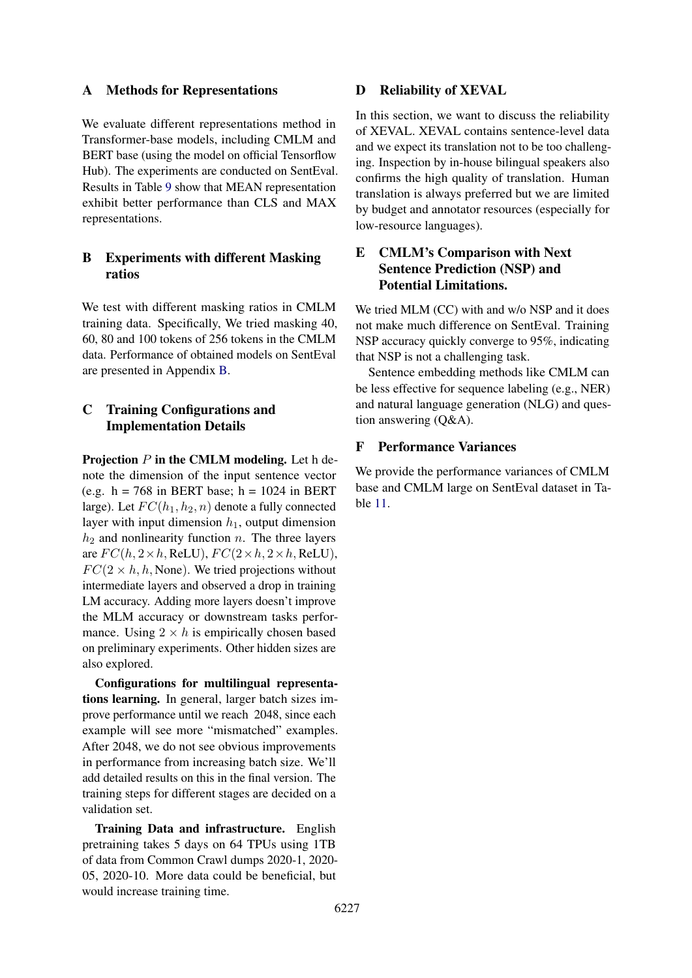# A Methods for Representations

We evaluate different representations method in Transformer-base models, including CMLM and BERT base (using the model on official Tensorflow Hub). The experiments are conducted on SentEval. Results in Table [9](#page-12-0) show that MEAN representation exhibit better performance than CLS and MAX representations.

# B Experiments with different Masking ratios

We test with different masking ratios in CMLM training data. Specifically, We tried masking 40, 60, 80 and 100 tokens of 256 tokens in the CMLM data. Performance of obtained models on SentEval are presented in Appendix [B.](#page-12-1)

# C Training Configurations and Implementation Details

Projection  $P$  in the CMLM modeling. Let h denote the dimension of the input sentence vector (e.g.  $h = 768$  in BERT base;  $h = 1024$  in BERT large). Let  $FC(h_1, h_2, n)$  denote a fully connected layer with input dimension  $h_1$ , output dimension  $h_2$  and nonlinearity function n. The three layers are  $FC(h, 2 \times h, \text{ReLU})$ ,  $FC(2 \times h, 2 \times h, \text{ReLU})$ ,  $FC(2 \times h, h, \text{None})$ . We tried projections without intermediate layers and observed a drop in training LM accuracy. Adding more layers doesn't improve the MLM accuracy or downstream tasks performance. Using  $2 \times h$  is empirically chosen based on preliminary experiments. Other hidden sizes are also explored.

Configurations for multilingual representations learning. In general, larger batch sizes improve performance until we reach 2048, since each example will see more "mismatched" examples. After 2048, we do not see obvious improvements in performance from increasing batch size. We'll add detailed results on this in the final version. The training steps for different stages are decided on a validation set.

Training Data and infrastructure. English pretraining takes 5 days on 64 TPUs using 1TB of data from Common Crawl dumps 2020-1, 2020- 05, 2020-10. More data could be beneficial, but would increase training time.

# D Reliability of XEVAL

In this section, we want to discuss the reliability of XEVAL. XEVAL contains sentence-level data and we expect its translation not to be too challenging. Inspection by in-house bilingual speakers also confirms the high quality of translation. Human translation is always preferred but we are limited by budget and annotator resources (especially for low-resource languages).

# E CMLM's Comparison with Next Sentence Prediction (NSP) and Potential Limitations.

We tried MLM (CC) with and w/o NSP and it does not make much difference on SentEval. Training NSP accuracy quickly converge to 95%, indicating that NSP is not a challenging task.

Sentence embedding methods like CMLM can be less effective for sequence labeling (e.g., NER) and natural language generation (NLG) and question answering (Q&A).

# F Performance Variances

We provide the performance variances of CMLM base and CMLM large on SentEval dataset in Table [11.](#page-12-2)